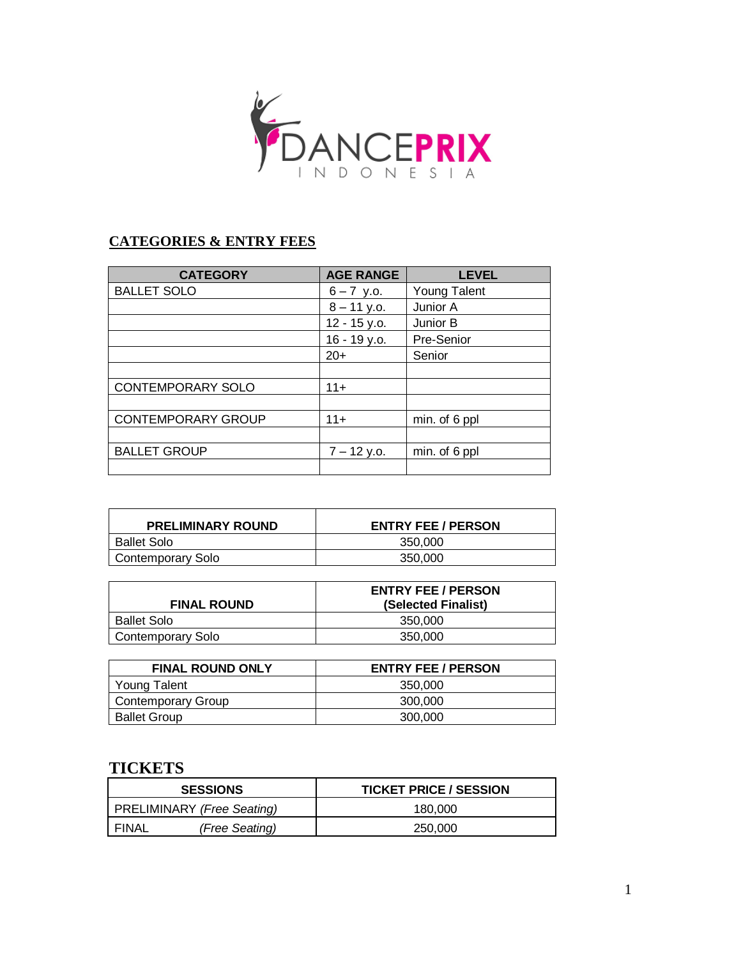

# **CATEGORIES & ENTRY FEES**

| <b>CATEGORY</b>           | <b>AGE RANGE</b> | <b>LEVEL</b>  |
|---------------------------|------------------|---------------|
| <b>BALLET SOLO</b>        | $6 - 7$ y.o.     | Young Talent  |
|                           | $8 - 11$ y.o.    | Junior A      |
|                           | 12 - 15 y.o.     | Junior B      |
|                           | 16 - 19 y.o.     | Pre-Senior    |
|                           | $20+$            | Senior        |
|                           |                  |               |
| <b>CONTEMPORARY SOLO</b>  | $11+$            |               |
|                           |                  |               |
| <b>CONTEMPORARY GROUP</b> | $11 +$           | min. of 6 ppl |
|                           |                  |               |
| <b>BALLET GROUP</b>       | $7 - 12$ y.o.    | min. of 6 ppl |
|                           |                  |               |

| <b>PRELIMINARY ROUND</b> | <b>ENTRY FEE / PERSON</b> |
|--------------------------|---------------------------|
| <b>Ballet Solo</b>       | 350,000                   |
| <b>Contemporary Solo</b> | 350,000                   |

| <b>FINAL ROUND</b> | <b>ENTRY FEE / PERSON</b><br>(Selected Finalist) |
|--------------------|--------------------------------------------------|
| <b>Ballet Solo</b> | 350,000                                          |
| Contemporary Solo  | 350,000                                          |

| <b>FINAL ROUND ONLY</b> | <b>ENTRY FEE / PERSON</b> |
|-------------------------|---------------------------|
| Young Talent            | 350,000                   |
| Contemporary Group      | 300.000                   |
| <b>Ballet Group</b>     | 300.000                   |

# **TICKETS**

| <b>SESSIONS</b>                   | <b>TICKET PRICE / SESSION</b> |
|-----------------------------------|-------------------------------|
| <b>PRELIMINARY (Free Seating)</b> | 180.000                       |
| FINAL<br>(Free Seating)           | 250,000                       |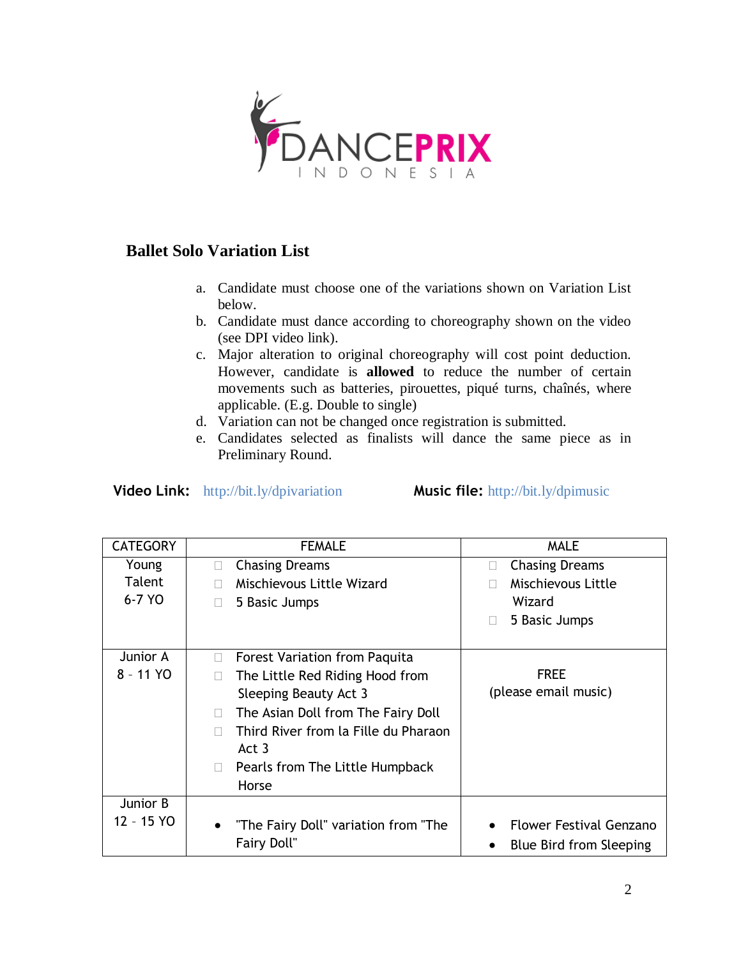

# **Ballet Solo Variation List**

- a. Candidate must choose one of the variations shown on Variation List below.
- b. Candidate must dance according to choreography shown on the video (see DPI video link).
- c. Major alteration to original choreography will cost point deduction. However, candidate is **allowed** to reduce the number of certain movements such as batteries, pirouettes, piqué turns, chaînés, where applicable. (E.g. Double to single)
- d. Variation can not be changed once registration is submitted.
- e. Candidates selected as finalists will dance the same piece as in Preliminary Round.

**Video Link:** http://bit.ly/dpivariation **Music file:** http://bit.ly/dpimusic

| <b>CATEGORY</b> | <b>FEMALE</b>                                     | <b>MALE</b>                                 |
|-----------------|---------------------------------------------------|---------------------------------------------|
| Young           | <b>Chasing Dreams</b><br>П                        | <b>Chasing Dreams</b>                       |
| Talent          | Mischievous Little Wizard                         | Mischievous Little                          |
| 6-7 YO          | 5 Basic Jumps                                     | Wizard                                      |
|                 |                                                   | 5 Basic Jumps                               |
| Junior A        | <b>Forest Variation from Paquita</b><br>П         |                                             |
| 8 - 11 YO       | The Little Red Riding Hood from<br>$\Box$         | <b>FREE</b>                                 |
|                 | Sleeping Beauty Act 3                             | (please email music)                        |
|                 | The Asian Doll from The Fairy Doll<br>П           |                                             |
|                 | Third River from la Fille du Pharaon              |                                             |
|                 | Act <sub>3</sub>                                  |                                             |
|                 | Pearls from The Little Humpback<br>П              |                                             |
|                 | Horse                                             |                                             |
| Junior B        |                                                   |                                             |
| 12 - 15 YO      | "The Fairy Doll" variation from "The<br>$\bullet$ | <b>Flower Festival Genzano</b><br>$\bullet$ |
|                 | Fairy Doll"                                       | Blue Bird from Sleeping                     |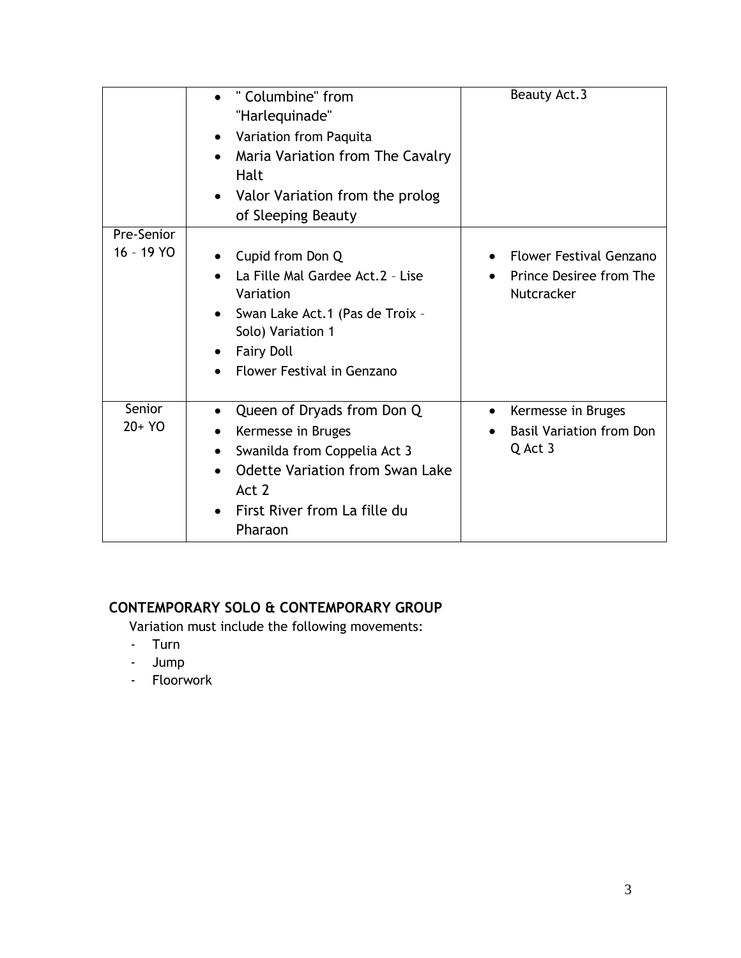|            | " Columbine" from<br>"Harlequinade"<br>Variation from Paquita<br>$\bullet$<br>Maria Variation from The Cavalry<br>Halt<br>Valor Variation from the prolog<br>$\bullet$<br>of Sleeping Beauty | Beauty Act.3                                                            |
|------------|----------------------------------------------------------------------------------------------------------------------------------------------------------------------------------------------|-------------------------------------------------------------------------|
| Pre-Senior |                                                                                                                                                                                              |                                                                         |
| 16 - 19 YO | Cupid from Don Q<br>La Fille Mal Gardee Act.2 - Lise<br>Variation<br>Swan Lake Act.1 (Pas de Troix -<br>$\bullet$<br>Solo) Variation 1<br><b>Fairy Doll</b><br>Flower Festival in Genzano    | <b>Flower Festival Genzano</b><br>Prince Desiree from The<br>Nutcracker |
| Senior     | Queen of Dryads from Don Q                                                                                                                                                                   | • Kermesse in Bruges                                                    |
| 20+ YO     | Kermesse in Bruges                                                                                                                                                                           | <b>Basil Variation from Don</b>                                         |
|            | Swanilda from Coppelia Act 3<br>٠                                                                                                                                                            | Q Act 3                                                                 |
|            | <b>Odette Variation from Swan Lake</b><br>Act 2                                                                                                                                              |                                                                         |
|            | First River from La fille du<br>Pharaon                                                                                                                                                      |                                                                         |

# **CONTEMPORARY SOLO & CONTEMPORARY GROUP**

Variation must include the following movements:

- Turn
- Jump
- Floorwork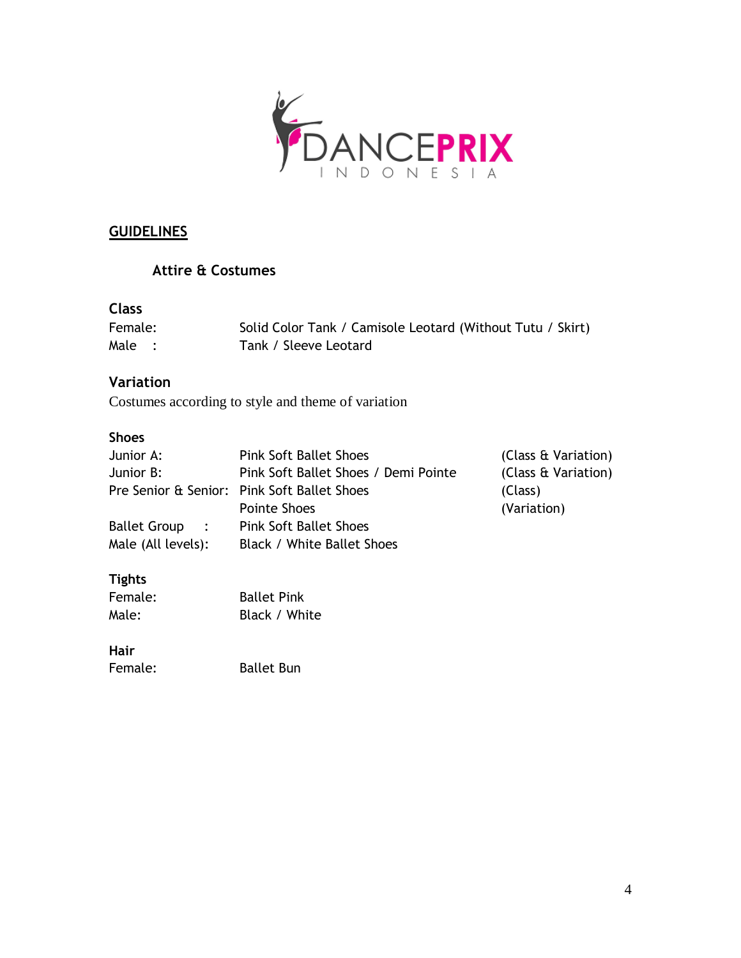

## **GUIDELINES**

## **Attire & Costumes**

# **Class**

| Female: | Solid Color Tank / Camisole Leotard (Without Tutu / Skirt) |
|---------|------------------------------------------------------------|
| Male :  | Tank / Sleeve Leotard                                      |

## **Variation**

Costumes according to style and theme of variation

### **Shoes**

| Junior A:                             | <b>Pink Soft Ballet Shoes</b>               | (Class & Variation) |
|---------------------------------------|---------------------------------------------|---------------------|
| Junior B:                             | Pink Soft Ballet Shoes / Demi Pointe        | (Class & Variation) |
|                                       | Pre Senior & Senior: Pink Soft Ballet Shoes | (Class)             |
|                                       | Pointe Shoes                                | (Variation)         |
| <b>Ballet Group</b><br>$\mathbf{r}$ : | <b>Pink Soft Ballet Shoes</b>               |                     |
| Male (All levels):                    | Black / White Ballet Shoes                  |                     |
|                                       |                                             |                     |

## **Tights**

| Female: | <b>Ballet Pink</b> |
|---------|--------------------|
| Male:   | Black / White      |

### **Hair**

Female: Ballet Bun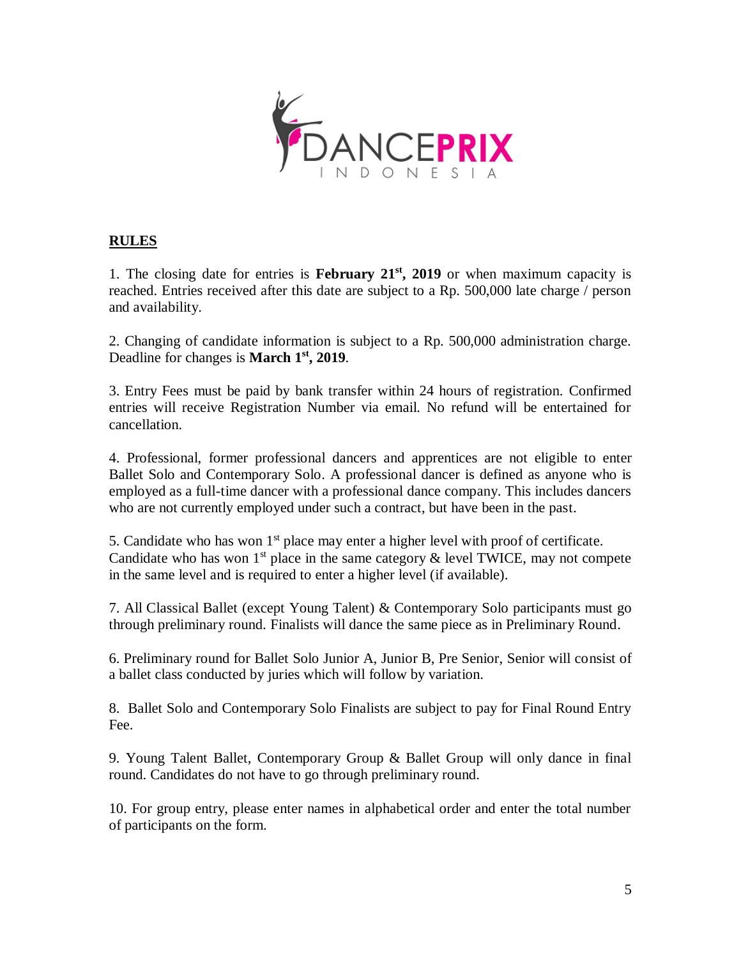

# **RULES**

1. The closing date for entries is **February 21<sup>st</sup>**, 2019 or when maximum capacity is reached. Entries received after this date are subject to a Rp. 500,000 late charge / person and availability.

2. Changing of candidate information is subject to a Rp. 500,000 administration charge. Deadline for changes is **March 1st, 2019**.

3. Entry Fees must be paid by bank transfer within 24 hours of registration. Confirmed entries will receive Registration Number via email. No refund will be entertained for cancellation.

4. Professional, former professional dancers and apprentices are not eligible to enter Ballet Solo and Contemporary Solo. A professional dancer is defined as anyone who is employed as a full-time dancer with a professional dance company. This includes dancers who are not currently employed under such a contract, but have been in the past.

5. Candidate who has won  $1<sup>st</sup>$  place may enter a higher level with proof of certificate. Candidate who has won  $1<sup>st</sup>$  place in the same category  $\&$  level TWICE, may not compete in the same level and is required to enter a higher level (if available).

7. All Classical Ballet (except Young Talent) & Contemporary Solo participants must go through preliminary round. Finalists will dance the same piece as in Preliminary Round.

6. Preliminary round for Ballet Solo Junior A, Junior B, Pre Senior, Senior will consist of a ballet class conducted by juries which will follow by variation.

8. Ballet Solo and Contemporary Solo Finalists are subject to pay for Final Round Entry Fee.

9. Young Talent Ballet, Contemporary Group & Ballet Group will only dance in final round. Candidates do not have to go through preliminary round.

10. For group entry, please enter names in alphabetical order and enter the total number of participants on the form.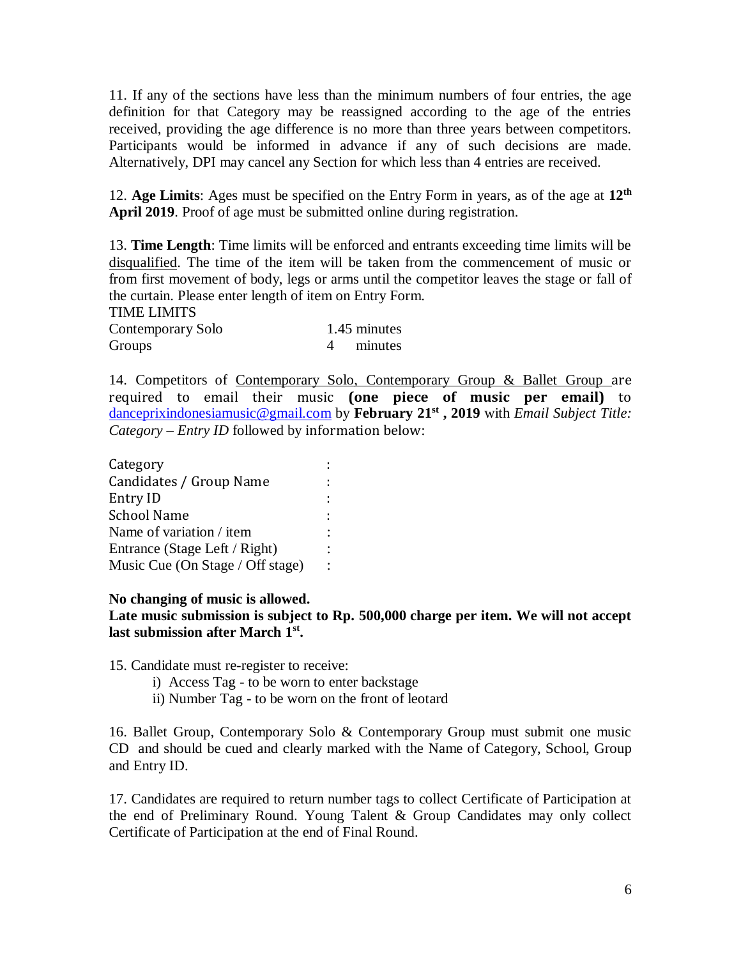11. If any of the sections have less than the minimum numbers of four entries, the age definition for that Category may be reassigned according to the age of the entries received, providing the age difference is no more than three years between competitors. Participants would be informed in advance if any of such decisions are made. Alternatively, DPI may cancel any Section for which less than 4 entries are received.

12. Age Limits: Ages must be specified on the Entry Form in years, as of the age at 12<sup>th</sup> **April 2019**. Proof of age must be submitted online during registration.

13. **Time Length**: Time limits will be enforced and entrants exceeding time limits will be disqualified. The time of the item will be taken from the commencement of music or from first movement of body, legs or arms until the competitor leaves the stage or fall of the curtain. Please enter length of item on Entry Form.

| <b>TIME LIMITS</b> |              |
|--------------------|--------------|
| Contemporary Solo  | 1.45 minutes |
| Groups             | 4 minutes    |

14. Competitors of Contemporary Solo, Contemporary Group & Ballet Group are required to email their music **(one piece of music per email)** to [danceprixindonesiamusic@gmail.com](mailto:danceprixindonesiamusic@gmail.com) by **February 21 st , 2019** with *Email Subject Title: Category – Entry ID* followed by information below:

| Category                         |  |
|----------------------------------|--|
| Candidates / Group Name          |  |
| Entry ID                         |  |
| <b>School Name</b>               |  |
| Name of variation / item         |  |
| Entrance (Stage Left / Right)    |  |
| Music Cue (On Stage / Off stage) |  |

### **No changing of music is allowed.**

**Late music submission is subject to Rp. 500,000 charge per item. We will not accept last submission after March 1st .** 

15. Candidate must re-register to receive:

- i) Access Tag to be worn to enter backstage
- ii) Number Tag to be worn on the front of leotard

16. Ballet Group, Contemporary Solo & Contemporary Group must submit one music CD and should be cued and clearly marked with the Name of Category, School, Group and Entry ID.

17. Candidates are required to return number tags to collect Certificate of Participation at the end of Preliminary Round. Young Talent & Group Candidates may only collect Certificate of Participation at the end of Final Round.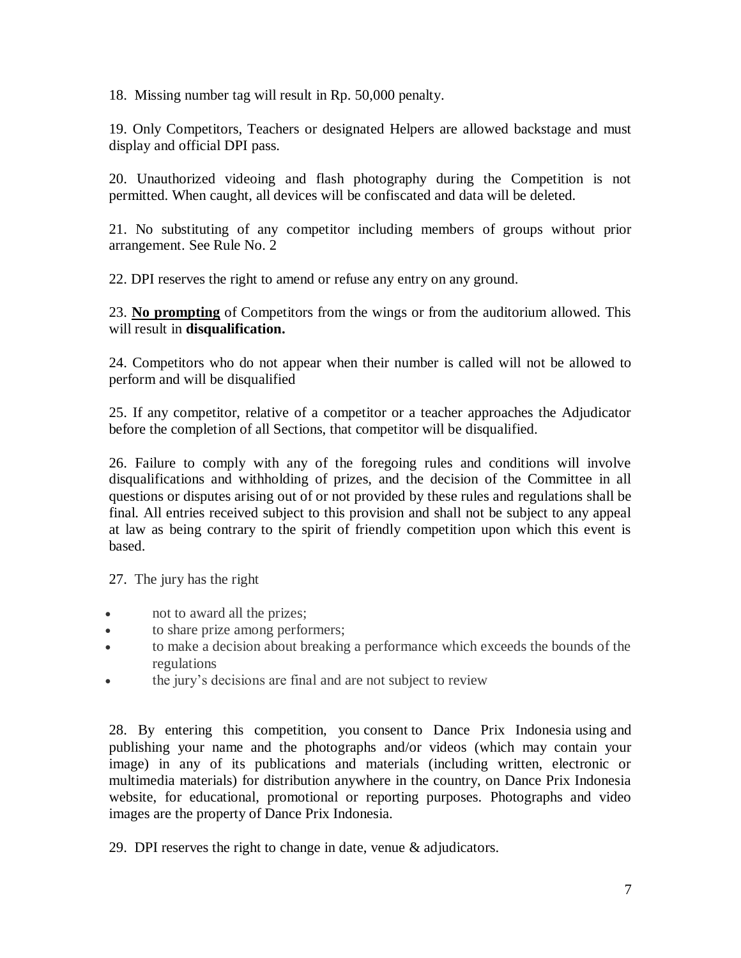18. Missing number tag will result in Rp. 50,000 penalty.

19. Only Competitors, Teachers or designated Helpers are allowed backstage and must display and official DPI pass.

20. Unauthorized videoing and flash photography during the Competition is not permitted. When caught, all devices will be confiscated and data will be deleted.

21. No substituting of any competitor including members of groups without prior arrangement. See Rule No. 2

22. DPI reserves the right to amend or refuse any entry on any ground.

23. **No prompting** of Competitors from the wings or from the auditorium allowed. This will result in **disqualification.**

24. Competitors who do not appear when their number is called will not be allowed to perform and will be disqualified

25. If any competitor, relative of a competitor or a teacher approaches the Adjudicator before the completion of all Sections, that competitor will be disqualified.

26. Failure to comply with any of the foregoing rules and conditions will involve disqualifications and withholding of prizes, and the decision of the Committee in all questions or disputes arising out of or not provided by these rules and regulations shall be final. All entries received subject to this provision and shall not be subject to any appeal at law as being contrary to the spirit of friendly competition upon which this event is based.

27. The jury has the right

- not to award all the prizes;
- to share prize among performers;
- to make a decision about breaking a performance which exceeds the bounds of the regulations
- the jury's decisions are final and are not subject to review

28. By entering this competition, you consent to Dance Prix Indonesia using and publishing your name and the photographs and/or videos (which may contain your image) in any of its publications and materials (including written, electronic or multimedia materials) for distribution anywhere in the country, on Dance Prix Indonesia website, for educational, promotional or reporting purposes. Photographs and video images are the property of Dance Prix Indonesia.

29. DPI reserves the right to change in date, venue & adjudicators.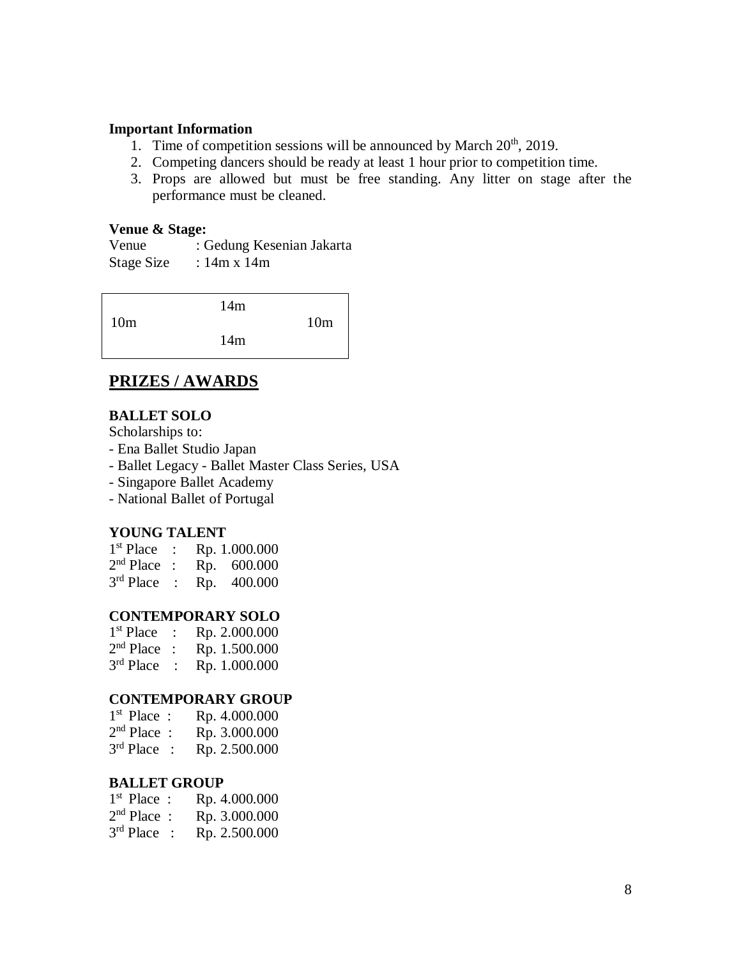### **Important Information**

- 1. Time of competition sessions will be announced by March  $20<sup>th</sup>$ , 2019.
- 2. Competing dancers should be ready at least 1 hour prior to competition time.
- 3. Props are allowed but must be free standing. Any litter on stage after the performance must be cleaned.

#### **Venue & Stage:**

Venue : Gedung Kesenian Jakarta Stage Size :  $14m \times 14m$ 

|                 | 14m |                 |
|-----------------|-----|-----------------|
| 10 <sub>m</sub> |     | 10 <sub>m</sub> |
|                 | 14m |                 |
|                 |     |                 |

# **PRIZES / AWARDS**

### **BALLET SOLO**

Scholarships to:

- Ena Ballet Studio Japan
- Ballet Legacy Ballet Master Class Series, USA
- Singapore Ballet Academy
- National Ballet of Portugal

### **YOUNG TALENT**

| 1 <sup>st</sup> Place |     | Rp. 1.000.000 |
|-----------------------|-----|---------------|
| $2nd Place$ :         |     | Rp. 600.000   |
| $3rd$ Place           | Rp. | 400.000       |

#### **CONTEMPORARY SOLO**

| $1st$ Place | Rp. 2.000.000 |
|-------------|---------------|
| $2nd$ Place | Rp. 1.500.000 |
| $3rd$ Place | Rp. 1.000.000 |

#### **CONTEMPORARY GROUP**

| $1st$ Place : | Rp. 4.000.000 |
|---------------|---------------|
| $2nd Place$ : | Rp. 3.000.000 |
| $3rd$ Place   | Rp. 2.500.000 |

#### **BALLET GROUP**

| $1st$ Place : | Rp. 4.000.000 |
|---------------|---------------|
| $2nd Place$ : | Rp. 3.000.000 |
| $3rd$ Place : | Rp. 2.500.000 |